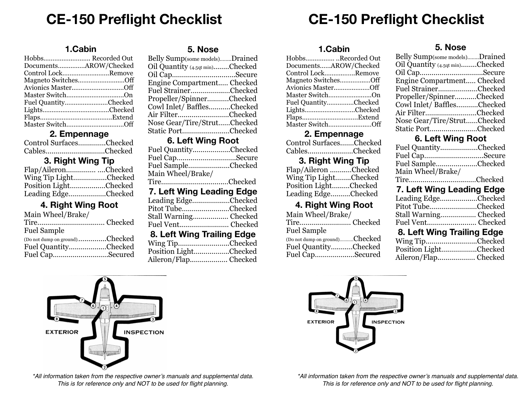# **CE-150 Preflight Checklist CE-150 Preflight Checklist**

### **1.Cabin**

| DocumentsAROW/Checked |  |
|-----------------------|--|
| Control LockRemove    |  |
| Magneto SwitchesOff   |  |
| Avionics MasterOff    |  |
|                       |  |
| Fuel QuantityChecked  |  |
|                       |  |
|                       |  |
|                       |  |

### **2. Empennage**

| Control SurfacesChecked |  |
|-------------------------|--|
| CablesChecked           |  |

### **3. Right Wing Tip**

| Flap/AileronChecked   |  |
|-----------------------|--|
| Wing Tip LightChecked |  |
| Position LightChecked |  |
| Leading EdgeChecked   |  |

# **4. Right Wing Root**

| Main Wheel/Brake/              |  |
|--------------------------------|--|
|                                |  |
| <b>Fuel Sample</b>             |  |
| (Do not dump on ground)Checked |  |
| Fuel QuantityChecked           |  |
| Fuel CapSecured                |  |

### **5. Nose**

| Belly Sump(some models)Drained  |  |
|---------------------------------|--|
| Oil Quantity (4.5qt min)Checked |  |
| Oil CapSecure                   |  |
| Engine Compartment Checked      |  |
| Fuel StrainerChecked            |  |
| Propeller/SpinnerChecked        |  |
| Cowl Inlet/BafflesChecked       |  |
| Air FilterChecked               |  |
| Nose Gear/Tire/StrutChecked     |  |
| Static PortChecked              |  |

### **6. Left Wing Root**

| Fuel QuantityChecked       |  |
|----------------------------|--|
| Fuel CapSecure             |  |
| Fuel SampleChecked         |  |
| Main Wheel/Brake/          |  |
| TireChecked                |  |
| 7. Left Wing Leading Edge  |  |
| Leading EdgeChecked        |  |
| Pitot TubeChecked          |  |
| Stall Warning Checked      |  |
| Fuel Vent Checked          |  |
| 8. Left Wing Trailing Edge |  |
| Wing TipChecked            |  |
| Position Light Checked     |  |

| Position LightChecked |  |
|-----------------------|--|
| Aileron/Flap Checked  |  |

### **1.Cabin**

| HobbsRecorded Out     |
|-----------------------|
| DocumentsAROW/Checked |
| Control LockRemove    |
| Magneto SwitchesOff   |
| Avionics MasterOff    |
| Master SwitchOn       |
| Fuel QuantityChecked  |
| LightsChecked         |
|                       |
| Master SwitchOff      |

### **2. Empennage**

| Control SurfacesChecked |  |
|-------------------------|--|
| CablesChecked           |  |

### **3. Right Wing Tip**

| Flap/Aileron Checked  |  |
|-----------------------|--|
| Wing Tip LightChecked |  |
| Position LightChecked |  |
| Leading EdgeChecked   |  |

## **4. Right Wing Root**

| Main Wheel/Brake/              |  |
|--------------------------------|--|
| Tire Checked                   |  |
| <b>Fuel Sample</b>             |  |
| (Do not dump on ground)Checked |  |
| Fuel QuantityChecked           |  |
| Fuel CapSecured                |  |

### **5. Nose**

| Belly Sump(some models)Drained  |  |
|---------------------------------|--|
| Oil Quantity (4.5qt min)Checked |  |
| Oil CapSecure                   |  |
| Engine Compartment Checked      |  |
| Fuel StrainerChecked            |  |
| Propeller/SpinnerChecked        |  |
| Cowl Inlet/ BafflesChecked      |  |
| Air FilterChecked               |  |
| Nose Gear/Tire/StrutChecked     |  |
| Static PortChecked              |  |

# **6. Left Wing Root**

| Fuel QuantityChecked                                |  |  |
|-----------------------------------------------------|--|--|
| Fuel CapSecure                                      |  |  |
| Fuel SampleChecked                                  |  |  |
| Main Wheel/Brake/                                   |  |  |
| TireChecked                                         |  |  |
| 7. Left Wing Leading Edge                           |  |  |
| $I \circ \text{cdim} \pi \circ \text{diam}$ Chooled |  |  |

| Leading EdgeUnecked   |
|-----------------------|
| Pitot TubeChecked     |
| Stall Warning Checked |
| Fuel Vent Checked     |
|                       |

# **8. Left Wing Trailing Edge**

| Wing TipChecked       |  |
|-----------------------|--|
| Position LightChecked |  |
|                       |  |



*\*All information taken from the respective owner's manuals and supplemental data. This is for reference only and NOT to be used for flight planning.*



*\*All information taken from the respective owner's manuals and supplemental data. This is for reference only and NOT to be used for flight planning.*